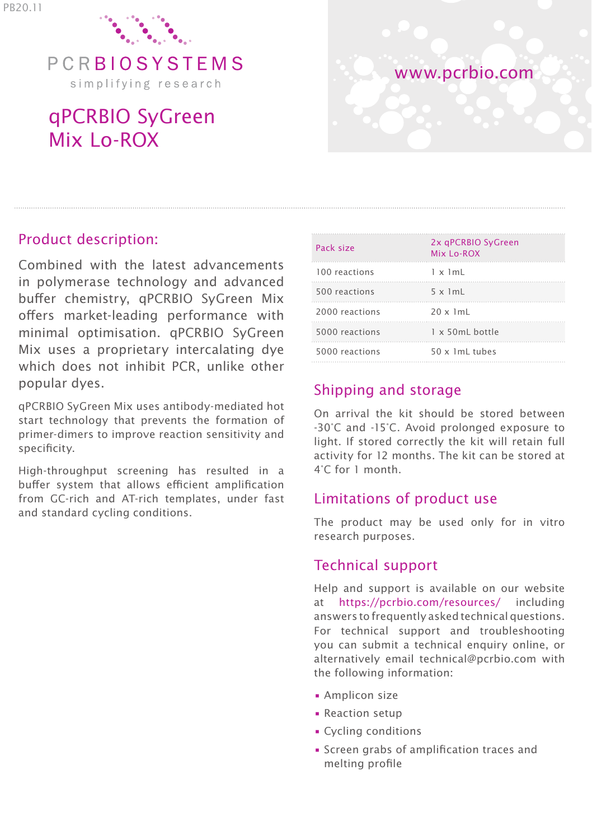

PCRBIOSYSTEMS simplifying research

# qPCRBIO SyGreen Mix Lo-ROX



## Product description:

Combined with the latest advancements in polymerase technology and advanced buffer chemistry, qPCRBIO SyGreen Mix offers market-leading performance with minimal optimisation. qPCRBIO SyGreen Mix uses a proprietary intercalating dye which does not inhibit PCR, unlike other popular dyes.

qPCRBIO SyGreen Mix uses antibody-mediated hot start technology that prevents the formation of primer-dimers to improve reaction sensitivity and specificity.

High-throughput screening has resulted in a buffer system that allows efficient amplification from GC-rich and AT-rich templates, under fast and standard cycling conditions.

| Pack size      | 2x qPCRBIO SyGreen<br>Mix Lo-ROX |
|----------------|----------------------------------|
| 100 reactions  | $1 \times 1$ mL                  |
| 500 reactions  | $5 \times 1mL$                   |
| 2000 reactions | $20 \times 1$ ml                 |
| 5000 reactions | $1 \times 50$ ml bottle          |
| 5000 reactions | 50 x 1mL tubes                   |

## Shipping and storage

On arrival the kit should be stored between -30°C and -15°C. Avoid prolonged exposure to light. If stored correctly the kit will retain full activity for 12 months. The kit can be stored at 4°C for 1 month.

## Limitations of product use

The product may be used only for in vitro research purposes.

### Technical support

Help and support is available on our website at https://pcrbio.com/resources/ including answers to frequently asked technical questions. For technical support and troubleshooting you can submit a technical enquiry online, or alternatively email technical@pcrbio.com with the following information:

- Amplicon size
- Reaction setup
- Cycling conditions
- Screen grabs of amplification traces and melting profile